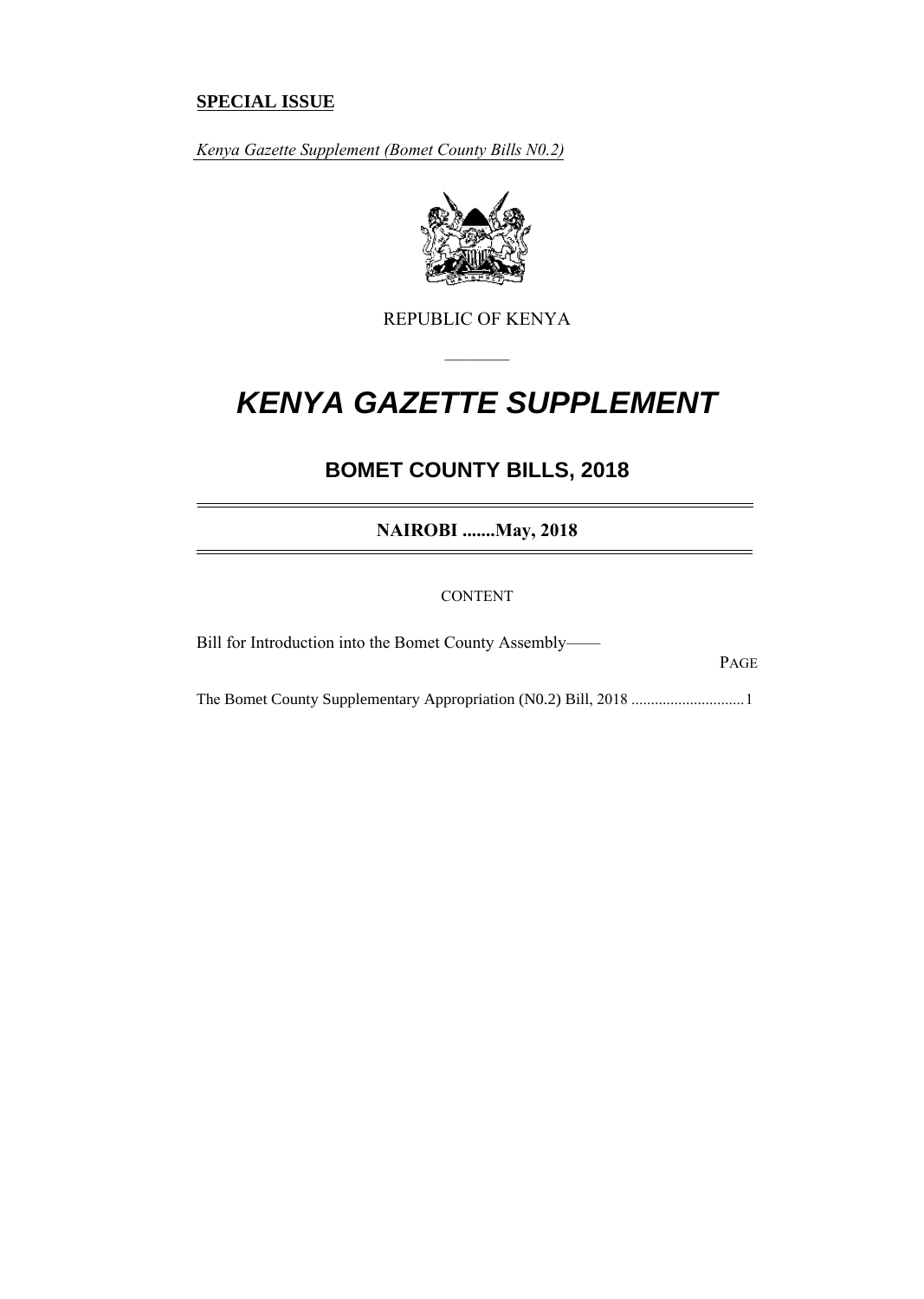### **SPECIAL ISSUE**

*Kenya Gazette Supplement (Bomet County Bills N0.2)*



REPUBLIC OF KENYA

–––––––

# *KENYA GAZETTE SUPPLEMENT*

## **BOMET COUNTY BILLS, 2018**

**NAIROBI .......May, 2018**

CONTENT

Bill for Introduction into the Bomet County Assembly——

PAGE

The Bomet County Supplementary Appropriation (N0.2) Bill, 2018 .............................1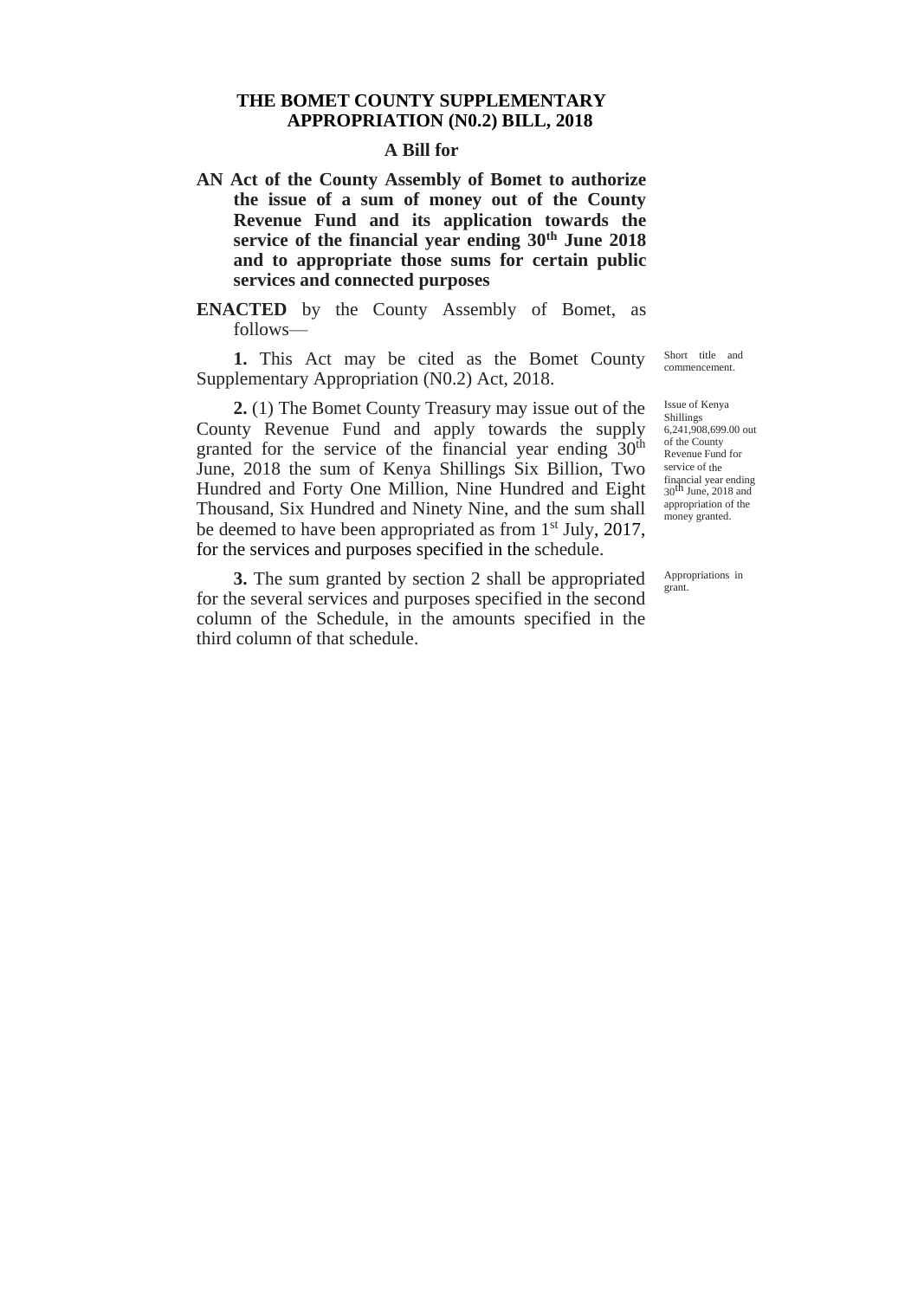#### **THE BOMET COUNTY SUPPLEMENTARY APPROPRIATION (N0.2) BILL, 2018**

#### **A Bill for**

- **AN Act of the County Assembly of Bomet to authorize the issue of a sum of money out of the County Revenue Fund and its application towards the service of the financial year ending 30th June 2018 and to appropriate those sums for certain public services and connected purposes**
- **ENACTED** by the County Assembly of Bomet, as follows—

**1.** This Act may be cited as the Bomet County Supplementary Appropriation (N0.2) Act, 2018.

**2.** (1) The Bomet County Treasury may issue out of the County Revenue Fund and apply towards the supply granted for the service of the financial year ending  $30<sup>th</sup>$ June, 2018 the sum of Kenya Shillings Six Billion, Two Hundred and Forty One Million, Nine Hundred and Eight Thousand, Six Hundred and Ninety Nine, and the sum shall be deemed to have been appropriated as from 1<sup>st</sup> July, 2017, for the services and purposes specified in the schedule.

**3.** The sum granted by section 2 shall be appropriated for the several services and purposes specified in the second column of the Schedule, in the amounts specified in the third column of that schedule.

Short title and commencement.

Issue of Kenya Shillings 6,241,908,699.00 out of the County Revenue Fund for service of the financial year ending<br>30<sup>th</sup> June, 2018 and appropriation of the money granted.

Appropriations in grant.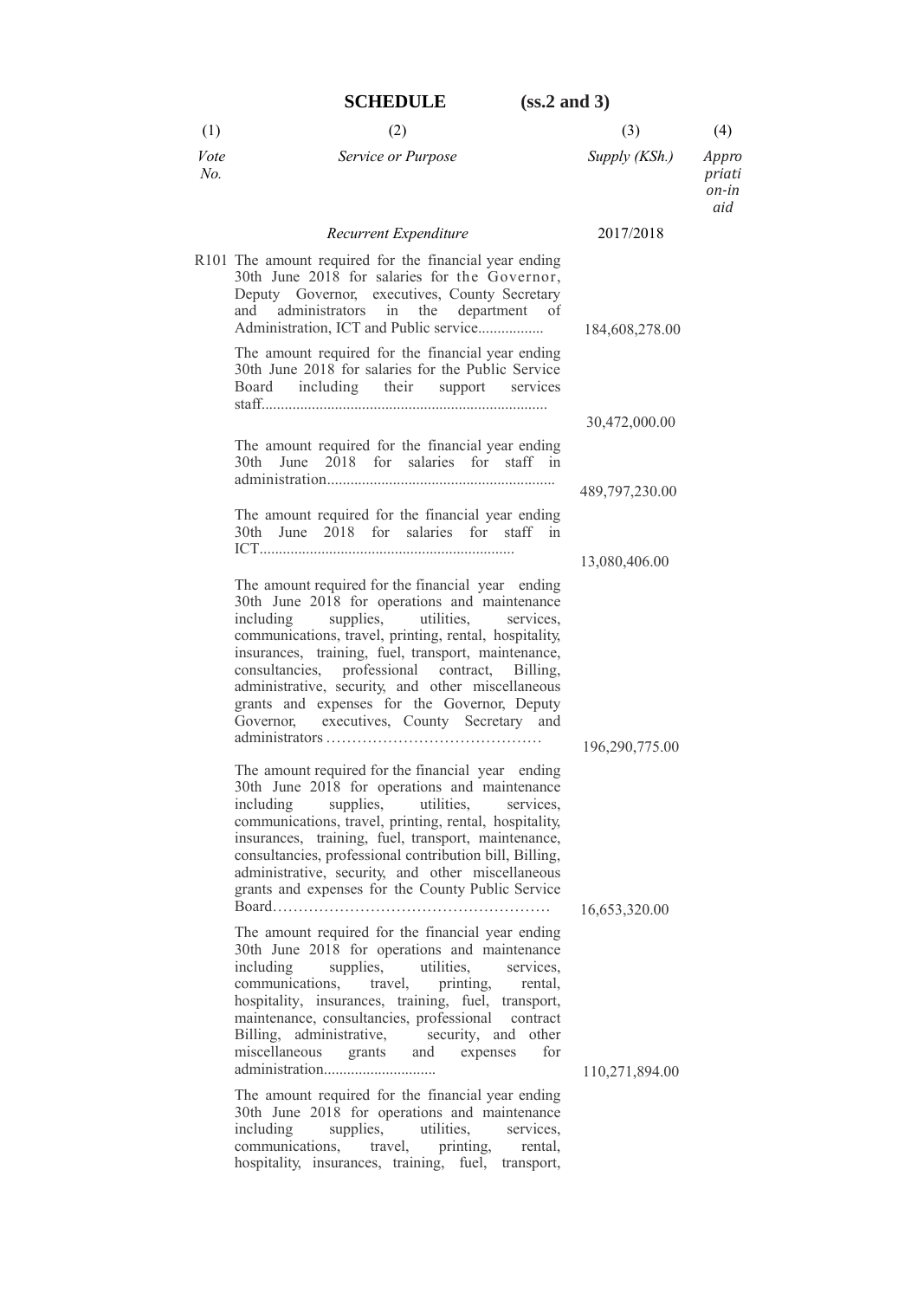|             | <b>SCHEDULE</b><br>$(ss.2$ and 3)                                                                                                                                                                                                                                                                                                                                                                                                                                          |                |                                 |
|-------------|----------------------------------------------------------------------------------------------------------------------------------------------------------------------------------------------------------------------------------------------------------------------------------------------------------------------------------------------------------------------------------------------------------------------------------------------------------------------------|----------------|---------------------------------|
| (1)         | (2)                                                                                                                                                                                                                                                                                                                                                                                                                                                                        | (3)            | (4)                             |
| Vote<br>No. | Service or Purpose                                                                                                                                                                                                                                                                                                                                                                                                                                                         | Supply (KSh.)  | Appro<br>priati<br>on-in<br>aid |
|             | Recurrent Expenditure                                                                                                                                                                                                                                                                                                                                                                                                                                                      | 2017/2018      |                                 |
|             | R101 The amount required for the financial year ending<br>30th June 2018 for salaries for the Governor,<br>Deputy Governor, executives, County Secretary<br>administrators in<br>the department<br>and<br>of<br>Administration, ICT and Public service<br>The amount required for the financial year ending<br>30th June 2018 for salaries for the Public Service                                                                                                          | 184,608,278.00 |                                 |
|             | including their support<br>Board<br>services                                                                                                                                                                                                                                                                                                                                                                                                                               |                |                                 |
|             |                                                                                                                                                                                                                                                                                                                                                                                                                                                                            | 30,472,000.00  |                                 |
|             | The amount required for the financial year ending<br>June 2018 for salaries for staff in<br>30th                                                                                                                                                                                                                                                                                                                                                                           |                |                                 |
|             |                                                                                                                                                                                                                                                                                                                                                                                                                                                                            | 489,797,230.00 |                                 |
|             | The amount required for the financial year ending<br>30th June 2018 for salaries for staff in                                                                                                                                                                                                                                                                                                                                                                              |                |                                 |
|             |                                                                                                                                                                                                                                                                                                                                                                                                                                                                            | 13,080,406.00  |                                 |
|             | The amount required for the financial year ending<br>30th June 2018 for operations and maintenance<br>supplies, utilities,<br>including<br>services,<br>communications, travel, printing, rental, hospitality,<br>insurances, training, fuel, transport, maintenance,<br>consultancies, professional contract, Billing,<br>administrative, security, and other miscellaneous<br>grants and expenses for the Governor, Deputy<br>Governor, executives, County Secretary and |                |                                 |
|             |                                                                                                                                                                                                                                                                                                                                                                                                                                                                            | 196,290,775.00 |                                 |
|             | The amount required for the financial year ending<br>30th June 2018 for operations and maintenance<br>including<br>utilities.<br>supplies,<br>services,<br>communications, travel, printing, rental, hospitality,<br>insurances, training, fuel, transport, maintenance,<br>consultancies, professional contribution bill, Billing,<br>administrative, security, and other miscellaneous<br>grants and expenses for the County Public Service                              | 16,653,320.00  |                                 |
|             | The amount required for the financial year ending<br>30th June 2018 for operations and maintenance<br>including<br>supplies, utilities,<br>services,<br>communications, travel,<br>printing,<br>rental,<br>hospitality, insurances, training, fuel, transport,<br>maintenance, consultancies, professional<br>contract<br>Billing, administrative, security, and<br>other<br>miscellaneous grants and<br>for<br>expenses                                                   |                |                                 |
|             |                                                                                                                                                                                                                                                                                                                                                                                                                                                                            | 110,271,894.00 |                                 |
|             | The amount required for the financial year ending<br>30th June 2018 for operations and maintenance<br>including<br>supplies,<br>utilities,<br>services,<br>communications,<br>travel,<br>printing,<br>rental,<br>hospitality, insurances, training, fuel, transport,                                                                                                                                                                                                       |                |                                 |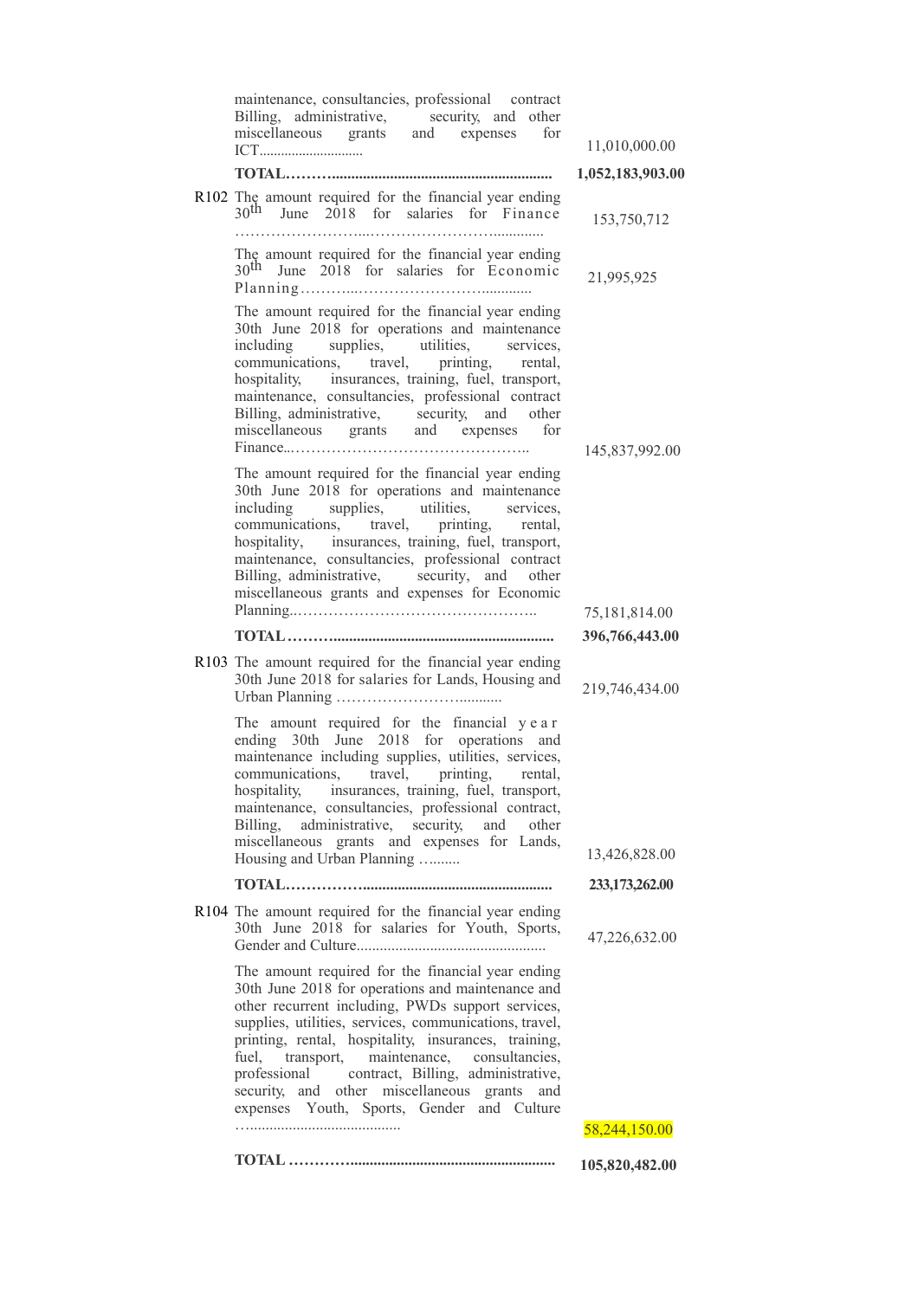| maintenance, consultancies, professional contract<br>Billing, administrative, security, and other<br>miscellaneous grants and expenses<br>for                                                                                                                                                                                                                                                                                                                                     | 11,010,000.00    |
|-----------------------------------------------------------------------------------------------------------------------------------------------------------------------------------------------------------------------------------------------------------------------------------------------------------------------------------------------------------------------------------------------------------------------------------------------------------------------------------|------------------|
|                                                                                                                                                                                                                                                                                                                                                                                                                                                                                   | 1,052,183,903.00 |
| R102 The amount required for the financial year ending<br>$30th$ June 2018 for salaries for Finance                                                                                                                                                                                                                                                                                                                                                                               | 153,750,712      |
| The amount required for the financial year ending<br>$30th$ June 2018 for salaries for Economic                                                                                                                                                                                                                                                                                                                                                                                   | 21,995,925       |
| The amount required for the financial year ending<br>30th June 2018 for operations and maintenance<br>including supplies, utilities, services,<br>communications, travel, printing, rental,<br>hospitality, insurances, training, fuel, transport,<br>maintenance, consultancies, professional contract<br>Billing, administrative, security, and other<br>miscellaneous grants and expenses for                                                                                  | 145,837,992.00   |
| The amount required for the financial year ending<br>30th June 2018 for operations and maintenance<br>including supplies, utilities, services,<br>communications, travel, printing, rental,<br>hospitality, insurances, training, fuel, transport,<br>maintenance, consultancies, professional contract<br>Billing, administrative, security, and other<br>miscellaneous grants and expenses for Economic                                                                         | 75,181,814.00    |
|                                                                                                                                                                                                                                                                                                                                                                                                                                                                                   | 396,766,443.00   |
| R103 The amount required for the financial year ending<br>30th June 2018 for salaries for Lands, Housing and                                                                                                                                                                                                                                                                                                                                                                      | 219,746,434.00   |
| The amount required for the financial year<br>ending 30th June 2018 for operations and<br>maintenance including supplies, utilities, services,<br>communications, travel, printing,<br>rental.<br>hospitality, insurances, training, fuel, transport,<br>maintenance, consultancies, professional contract,<br>administrative, security, and<br>Billing,<br>other<br>miscellaneous grants and expenses for Lands,<br>Housing and Urban Planning                                   | 13,426,828.00    |
|                                                                                                                                                                                                                                                                                                                                                                                                                                                                                   | 233, 173, 262.00 |
| R104 The amount required for the financial year ending<br>30th June 2018 for salaries for Youth, Sports,                                                                                                                                                                                                                                                                                                                                                                          | 47,226,632.00    |
| The amount required for the financial year ending<br>30th June 2018 for operations and maintenance and<br>other recurrent including, PWDs support services,<br>supplies, utilities, services, communications, travel,<br>printing, rental, hospitality, insurances, training,<br>fuel, transport, maintenance, consultancies,<br>professional contract, Billing, administrative,<br>security, and other miscellaneous grants<br>and<br>expenses Youth, Sports, Gender and Culture |                  |
|                                                                                                                                                                                                                                                                                                                                                                                                                                                                                   | 58,244,150.00    |
|                                                                                                                                                                                                                                                                                                                                                                                                                                                                                   | 105,820,482.00   |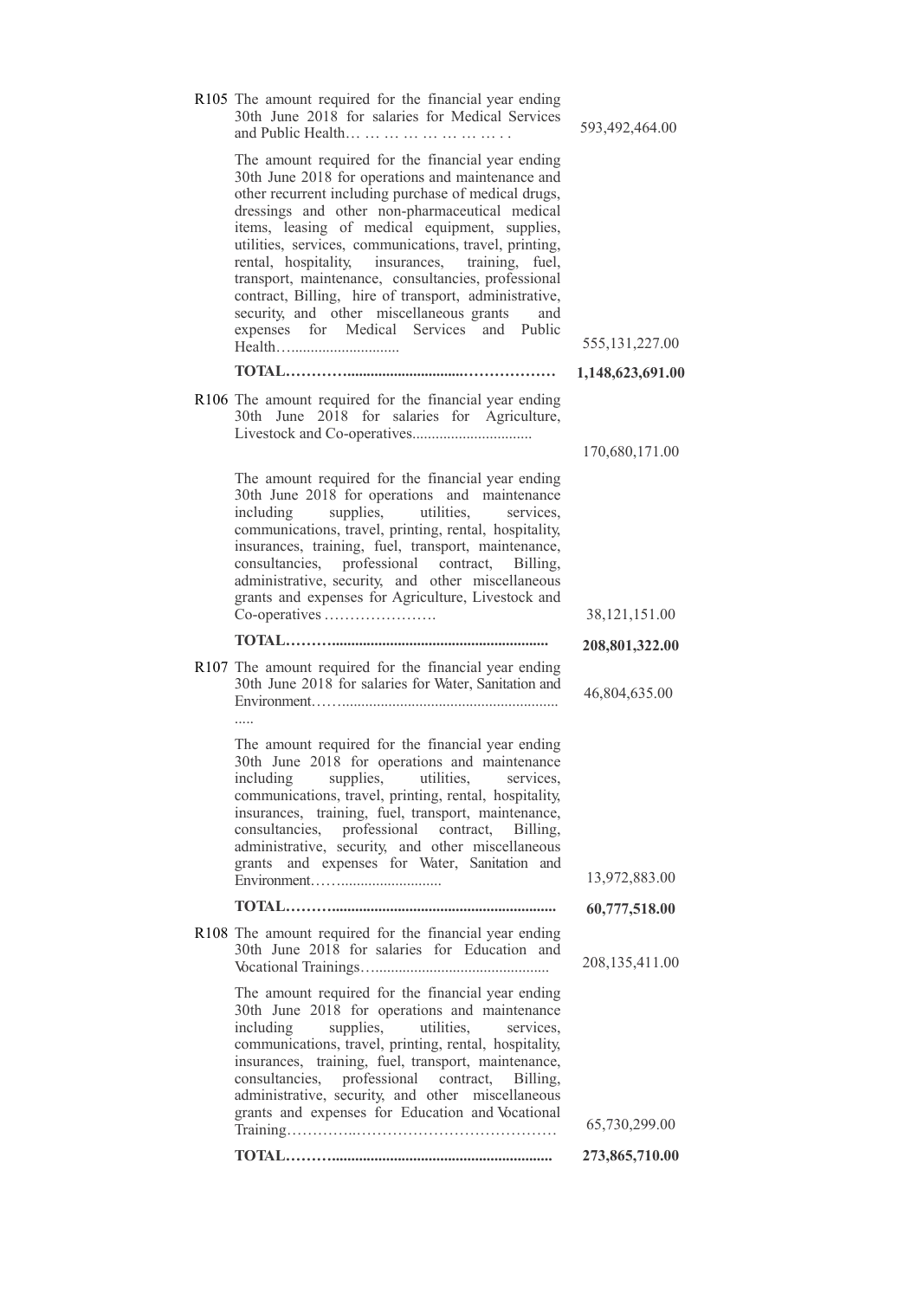| R105 The amount required for the financial year ending<br>30th June 2018 for salaries for Medical Services<br>and Public Health                                                                                                                                                                                                                                                                                                                                                                                                                                                                 | 593,492,464.00                  |
|-------------------------------------------------------------------------------------------------------------------------------------------------------------------------------------------------------------------------------------------------------------------------------------------------------------------------------------------------------------------------------------------------------------------------------------------------------------------------------------------------------------------------------------------------------------------------------------------------|---------------------------------|
| The amount required for the financial year ending<br>30th June 2018 for operations and maintenance and<br>other recurrent including purchase of medical drugs,<br>dressings and other non-pharmaceutical medical<br>items, leasing of medical equipment, supplies,<br>utilities, services, communications, travel, printing,<br>rental, hospitality, insurances, training, fuel,<br>transport, maintenance, consultancies, professional<br>contract, Billing, hire of transport, administrative,<br>security, and other miscellaneous grants<br>and<br>expenses for Medical Services and Public | 555, 131, 227.00                |
|                                                                                                                                                                                                                                                                                                                                                                                                                                                                                                                                                                                                 | 1,148,623,691.00                |
| R106 The amount required for the financial year ending<br>30th June 2018 for salaries for Agriculture,                                                                                                                                                                                                                                                                                                                                                                                                                                                                                          |                                 |
|                                                                                                                                                                                                                                                                                                                                                                                                                                                                                                                                                                                                 | 170,680,171.00                  |
| The amount required for the financial year ending<br>30th June 2018 for operations and maintenance<br>supplies, utilities, services,<br>including<br>communications, travel, printing, rental, hospitality,<br>insurances, training, fuel, transport, maintenance,<br>consultancies, professional contract,<br>Billing,<br>administrative, security, and other miscellaneous<br>grants and expenses for Agriculture, Livestock and                                                                                                                                                              |                                 |
| Co-operatives                                                                                                                                                                                                                                                                                                                                                                                                                                                                                                                                                                                   | 38,121,151.00                   |
|                                                                                                                                                                                                                                                                                                                                                                                                                                                                                                                                                                                                 | 208,801,322.00                  |
|                                                                                                                                                                                                                                                                                                                                                                                                                                                                                                                                                                                                 |                                 |
| R107 The amount required for the financial year ending<br>30th June 2018 for salaries for Water, Sanitation and                                                                                                                                                                                                                                                                                                                                                                                                                                                                                 | 46,804,635.00                   |
| The amount required for the financial year ending<br>30th June 2018 for operations and maintenance<br>including supplies, utilities, services,<br>communications, travel, printing, rental, hospitality,<br>insurances, training, fuel, transport, maintenance,<br>consultancies, professional contract, Billing,<br>administrative, security, and other miscellaneous<br>grants and expenses for Water, Sanitation and                                                                                                                                                                         | 13,972,883.00                   |
|                                                                                                                                                                                                                                                                                                                                                                                                                                                                                                                                                                                                 | 60,777,518.00                   |
| R108 The amount required for the financial year ending<br>30th June 2018 for salaries for Education and                                                                                                                                                                                                                                                                                                                                                                                                                                                                                         | 208,135,411.00                  |
| The amount required for the financial year ending<br>30th June 2018 for operations and maintenance<br>supplies,<br>utilities,<br>including<br>services.<br>communications, travel, printing, rental, hospitality,<br>insurances, training, fuel, transport, maintenance,<br>consultancies, professional contract, Billing,<br>administrative, security, and other miscellaneous<br>grants and expenses for Education and Vocational                                                                                                                                                             |                                 |
|                                                                                                                                                                                                                                                                                                                                                                                                                                                                                                                                                                                                 | 65,730,299.00<br>273,865,710.00 |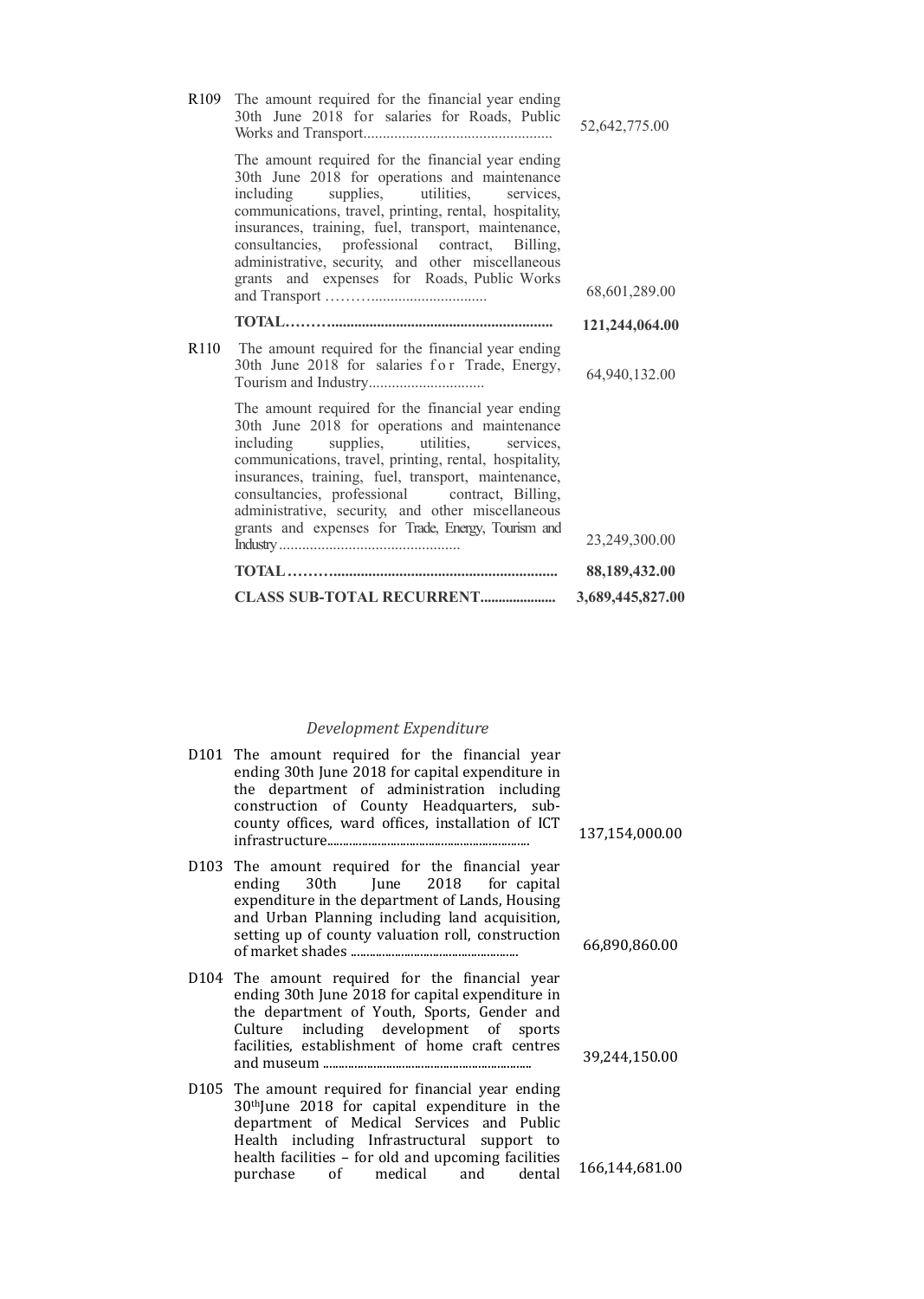|      | <b>CLASS SUB-TOTAL RECURRENT</b>                                                                                                                                                                                                                                                                                                                                                                                             | 3,689,445,827.00 |
|------|------------------------------------------------------------------------------------------------------------------------------------------------------------------------------------------------------------------------------------------------------------------------------------------------------------------------------------------------------------------------------------------------------------------------------|------------------|
|      |                                                                                                                                                                                                                                                                                                                                                                                                                              | 88,189,432.00    |
|      | The amount required for the financial year ending<br>30th June 2018 for operations and maintenance<br>including supplies, utilities, services,<br>communications, travel, printing, rental, hospitality,<br>insurances, training, fuel, transport, maintenance,<br>consultancies, professional contract, Billing,<br>administrative, security, and other miscellaneous<br>grants and expenses for Trade, Energy, Tourism and | 23,249,300.00    |
| R110 | The amount required for the financial year ending<br>30th June 2018 for salaries for Trade, Energy,                                                                                                                                                                                                                                                                                                                          | 64,940,132.00    |
|      |                                                                                                                                                                                                                                                                                                                                                                                                                              | 121,244,064.00   |
|      | The amount required for the financial year ending<br>30th June 2018 for operations and maintenance<br>including supplies, utilities, services,<br>communications, travel, printing, rental, hospitality,<br>insurances, training, fuel, transport, maintenance,<br>consultancies, professional contract, Billing,<br>administrative, security, and other miscellaneous<br>grants and expenses for Roads, Public Works        | 68,601,289.00    |
| R109 | The amount required for the financial year ending<br>30th June 2018 for salaries for Roads, Public                                                                                                                                                                                                                                                                                                                           | 52,642,775.00    |

### *Development Expenditure*

| D101 The amount required for the financial year<br>ending 30th June 2018 for capital expenditure in<br>the department of administration including<br>construction of County Headquarters, sub-<br>county offices, ward offices, installation of ICT                                                     | 137,154,000.00 |
|---------------------------------------------------------------------------------------------------------------------------------------------------------------------------------------------------------------------------------------------------------------------------------------------------------|----------------|
| D103 The amount required for the financial year<br>ending 30th June 2018 for capital<br>expenditure in the department of Lands, Housing<br>and Urban Planning including land acquisition,<br>setting up of county valuation roll, construction                                                          | 66,890,860.00  |
| D104 The amount required for the financial year<br>ending 30th June 2018 for capital expenditure in<br>the department of Youth, Sports, Gender and<br>Culture including development of sports<br>facilities, establishment of home craft centres                                                        | 39,244,150.00  |
| D105 The amount required for financial year ending<br>30 <sup>th</sup> June 2018 for capital expenditure in the<br>department of Medical Services and Public<br>Health including Infrastructural support to<br>health facilities - for old and upcoming facilities<br>purchase of medical and<br>dental | 166,144,681.00 |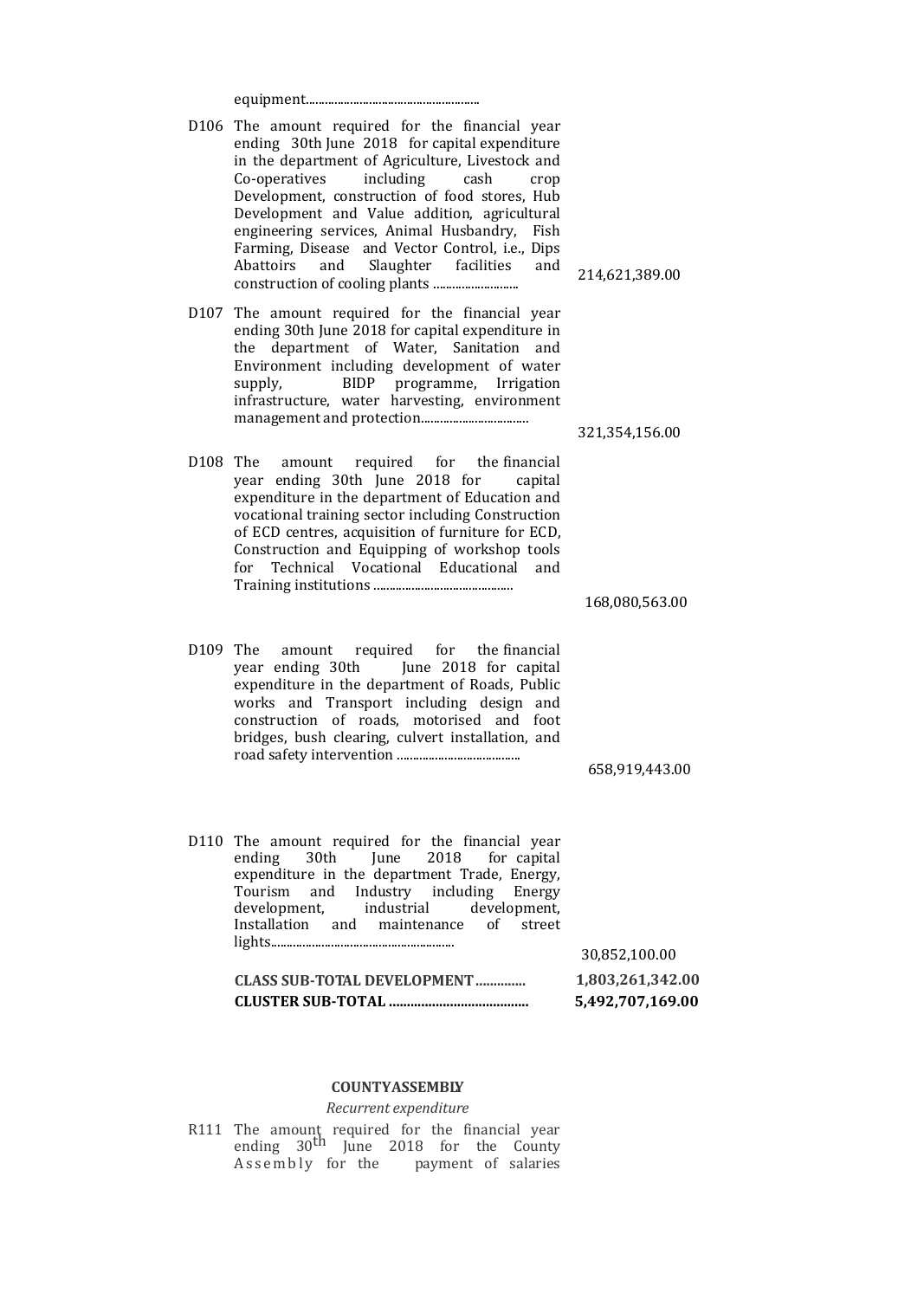|--|

- D106 The amount required for the financial year ending 30th June 2018 for capital expenditure in the department of Agriculture, Livestock and Co-operatives including cash crop Development, construction of food stores, Hub Development and Value addition, agricultural engineering services, Animal Husbandry, Fish Farming, Disease and Vector Control, i.e., Dips Abattoirs and Slaughter facilities and construction of cooling plants ...........................
- D107 The amount required for the financial year ending 30th June 2018 for capital expenditure in the department of Water, Sanitation and Environment including development of water supply, BIDP programme, Irrigation infrastructure, water harvesting, environment management and protection..................................
- D108 The amount required for the financial year ending 30th June 2018 for capital expenditure in the department of Education and vocational training sector including Construction of ECD centres, acquisition of furniture for ECD, Construction and Equipping of workshop tools for Technical Vocational Educational and Training institutions ............................................

168,080,563.00

214,621,389.00

321,354,156.00

D109 The amount required for the financial year ending 30th June 2018 for capital expenditure in the department of Roads, Public works and Transport including design and construction of roads, motorised and foot bridges, bush clearing, culvert installation, and road safety intervention .......................................

658,919,443.00

D110 The amount required for the financial year ending 30th June 2018 for capital expenditure in the department Trade, Energy, Tourism and Industry including Energy development, industrial development, Installation and maintenance of street lights.......................................................... 30,852,100.00 **CLASS SUB-TOTAL DEVELOPMENT.............. 1,803,261,342.00**

**CLUSTER SUB-TOTAL ....................................... 5,492,707,169.00**

#### **COUNTYASSEMBLY**

*Recurrent expenditure*

R111 The amount required for the financial year<br>ending 30<sup>th</sup> June 2018 for the County Assembly for the payment of salaries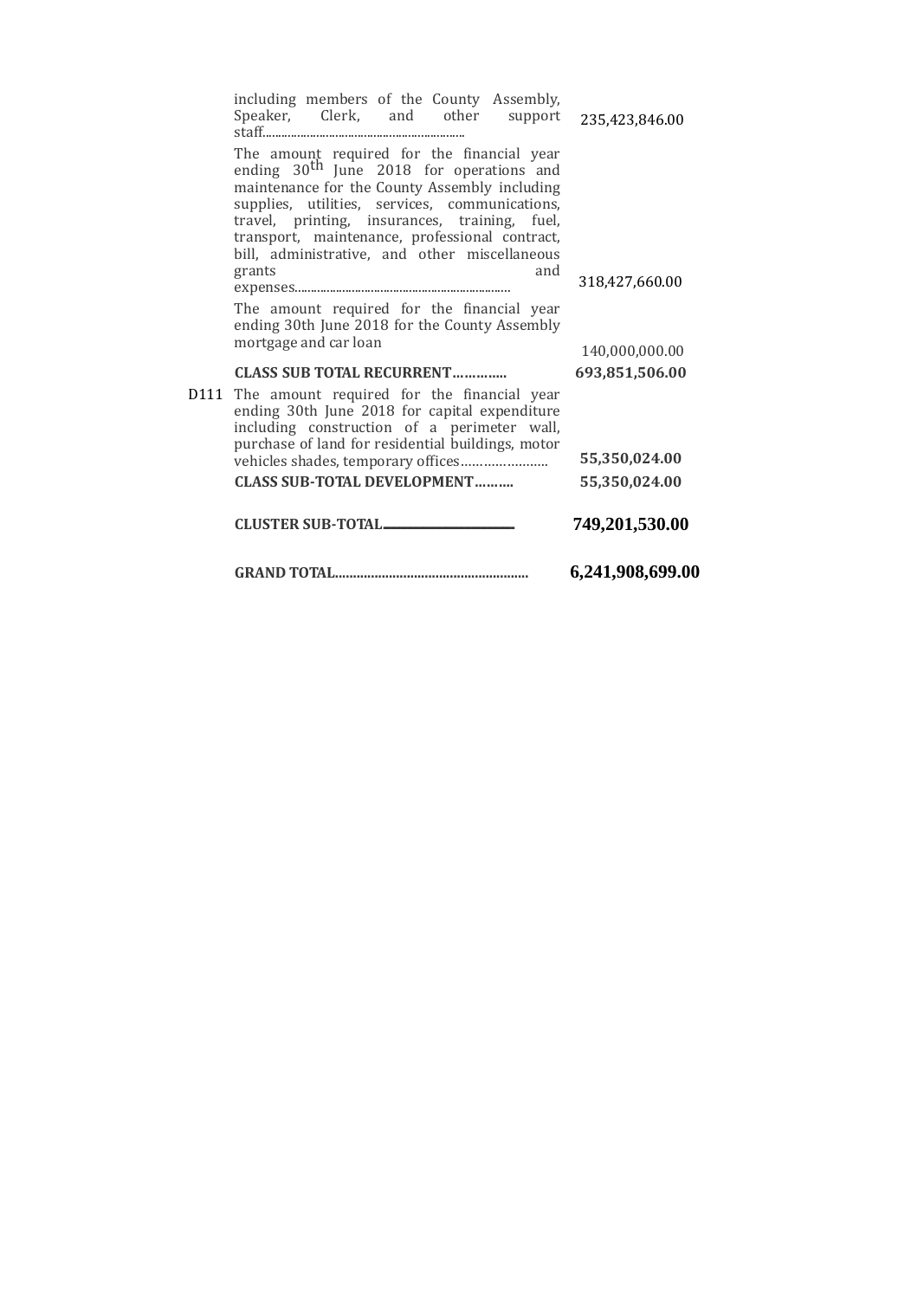|      |                                                                                                                                                                                                                                                                                                                                                                                                                    | 6,241,908,699.00                 |
|------|--------------------------------------------------------------------------------------------------------------------------------------------------------------------------------------------------------------------------------------------------------------------------------------------------------------------------------------------------------------------------------------------------------------------|----------------------------------|
|      | <b>CLUSTER SUB-TOTAL</b>                                                                                                                                                                                                                                                                                                                                                                                           | 749,201,530.00                   |
|      | <b>CLASS SUB-TOTAL DEVELOPMENT</b>                                                                                                                                                                                                                                                                                                                                                                                 | 55,350,024.00                    |
| D111 | The amount required for the financial year<br>ending 30th June 2018 for capital expenditure<br>including construction of a perimeter wall,<br>purchase of land for residential buildings, motor                                                                                                                                                                                                                    | 55,350,024.00                    |
|      | <b>CLASS SUB TOTAL RECURRENT</b>                                                                                                                                                                                                                                                                                                                                                                                   | 693,851,506.00                   |
|      | The amount required for the financial year<br>ending 30th June 2018 for the County Assembly<br>mortgage and car loan                                                                                                                                                                                                                                                                                               | 140,000,000.00                   |
|      | Speaker, Clerk, and other<br>support<br>The amount required for the financial year<br>ending 30 <sup>th</sup> June 2018 for operations and<br>maintenance for the County Assembly including<br>supplies, utilities, services, communications,<br>travel, printing, insurances, training, fuel,<br>transport, maintenance, professional contract,<br>bill, administrative, and other miscellaneous<br>grants<br>and | 235,423,846.00<br>318,427,660.00 |
|      | including members of the County Assembly,                                                                                                                                                                                                                                                                                                                                                                          |                                  |